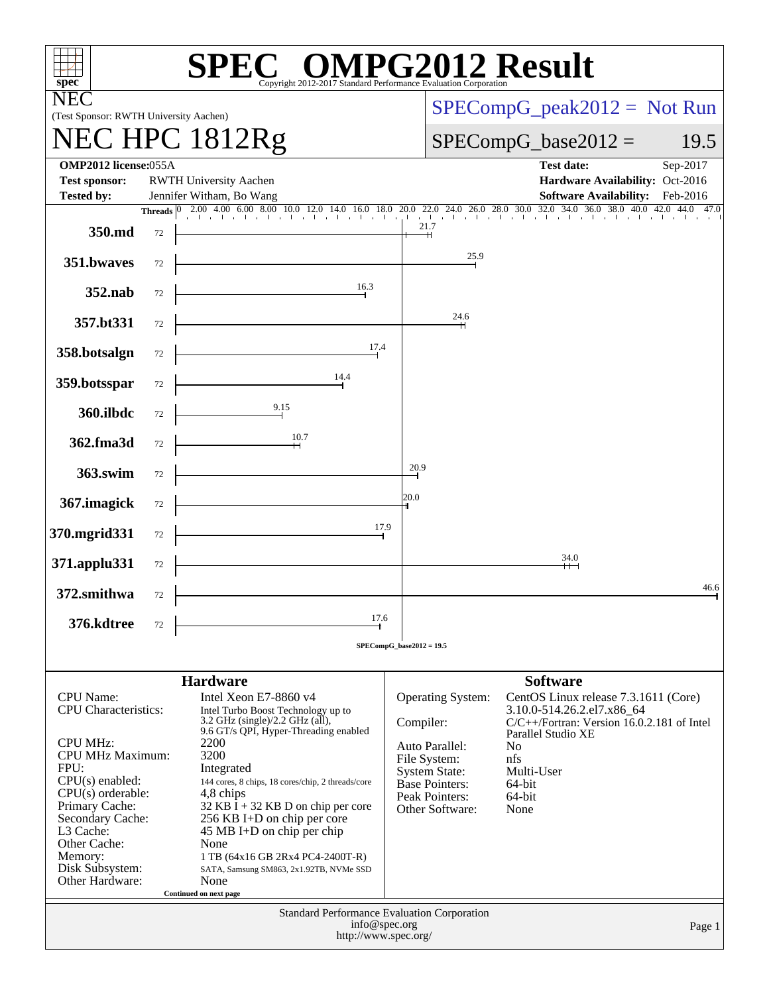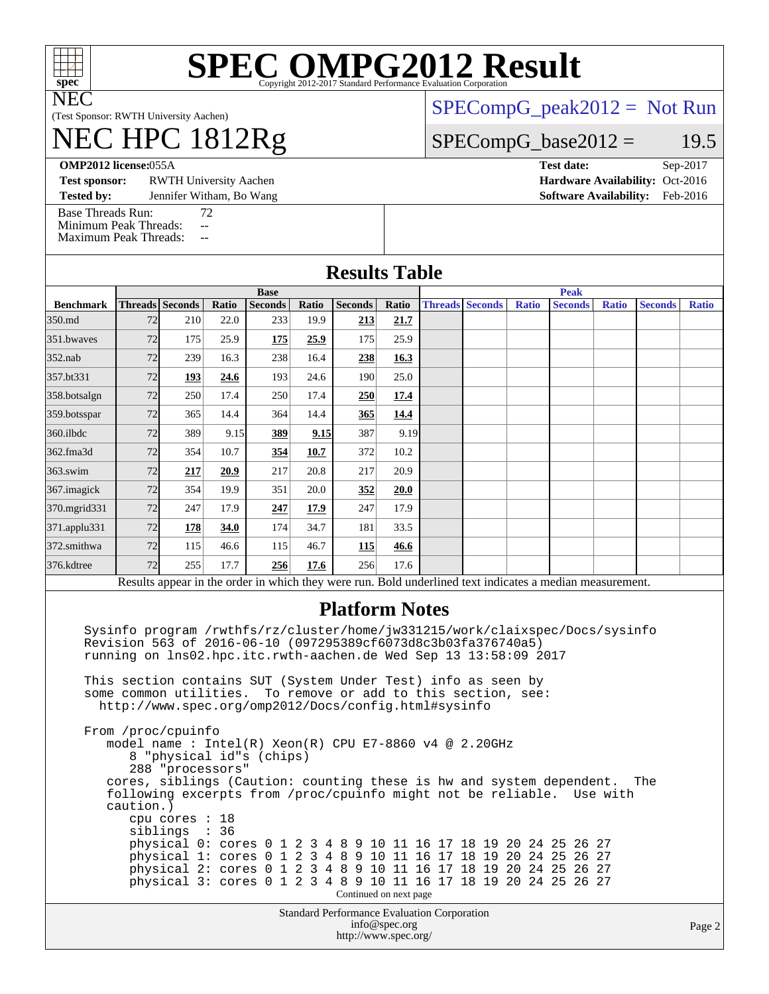

NEC

# **[SPEC OMPG2012 Result](http://www.spec.org/auto/omp2012/Docs/result-fields.html#SPECOMPG2012Result)**

(Test Sponsor: RWTH University Aachen)

# NEC HPC 1812Rg

[SPECompG\\_peak2012 =](http://www.spec.org/auto/omp2012/Docs/result-fields.html#SPECompGpeak2012) Not Run

### $SPECompG_base2012 = 19.5$  $SPECompG_base2012 = 19.5$

**[OMP2012 license:](http://www.spec.org/auto/omp2012/Docs/result-fields.html#OMP2012license)**055A **[Test date:](http://www.spec.org/auto/omp2012/Docs/result-fields.html#Testdate)** Sep-2017

**[Test sponsor:](http://www.spec.org/auto/omp2012/Docs/result-fields.html#Testsponsor)** RWTH University Aachen **[Hardware Availability:](http://www.spec.org/auto/omp2012/Docs/result-fields.html#HardwareAvailability)** Oct-2016

**[Tested by:](http://www.spec.org/auto/omp2012/Docs/result-fields.html#Testedby)** Jennifer Witham, Bo Wang **[Software Availability:](http://www.spec.org/auto/omp2012/Docs/result-fields.html#SoftwareAvailability)** Feb-2016

[Base Threads Run:](http://www.spec.org/auto/omp2012/Docs/result-fields.html#BaseThreadsRun) 72 [Minimum Peak Threads:](http://www.spec.org/auto/omp2012/Docs/result-fields.html#MinimumPeakThreads) --<br>Maximum Peak Threads: --[Maximum Peak Threads:](http://www.spec.org/auto/omp2012/Docs/result-fields.html#MaximumPeakThreads)

|                  |             |                                                                                                                                                                                        |       |                |       | <b>Results Table</b>  |       |             |                        |              |                                                                                                                                                                                                                                                                                                                                                           |              |                |              |
|------------------|-------------|----------------------------------------------------------------------------------------------------------------------------------------------------------------------------------------|-------|----------------|-------|-----------------------|-------|-------------|------------------------|--------------|-----------------------------------------------------------------------------------------------------------------------------------------------------------------------------------------------------------------------------------------------------------------------------------------------------------------------------------------------------------|--------------|----------------|--------------|
|                  | <b>Base</b> |                                                                                                                                                                                        |       |                |       |                       |       | <b>Peak</b> |                        |              |                                                                                                                                                                                                                                                                                                                                                           |              |                |              |
| <b>Benchmark</b> |             | Threads Seconds                                                                                                                                                                        | Ratio | <b>Seconds</b> | Ratio | <b>Seconds</b>        | Ratio |             | <b>Threads Seconds</b> | <b>Ratio</b> | <b>Seconds</b>                                                                                                                                                                                                                                                                                                                                            | <b>Ratio</b> | <b>Seconds</b> | <b>Ratio</b> |
| 350.md           | 72          | 210                                                                                                                                                                                    | 22.0  | 233            | 19.9  | 213                   | 21.7  |             |                        |              |                                                                                                                                                                                                                                                                                                                                                           |              |                |              |
| 351.bwaves       | 72          | 175                                                                                                                                                                                    | 25.9  | 175            | 25.9  | 175                   | 25.9  |             |                        |              |                                                                                                                                                                                                                                                                                                                                                           |              |                |              |
| 352.nab          | 72          | 239                                                                                                                                                                                    | 16.3  | 238            | 16.4  | 238                   | 16.3  |             |                        |              |                                                                                                                                                                                                                                                                                                                                                           |              |                |              |
| 357.bt331        | 72          | 193                                                                                                                                                                                    | 24.6  | 193            | 24.6  | 190                   | 25.0  |             |                        |              |                                                                                                                                                                                                                                                                                                                                                           |              |                |              |
| 358.botsalgn     | 72          | 250                                                                                                                                                                                    | 17.4  | 250            | 17.4  | 250                   | 17.4  |             |                        |              |                                                                                                                                                                                                                                                                                                                                                           |              |                |              |
| 359.botsspar     | 72          | 365                                                                                                                                                                                    | 14.4  | 364            | 14.4  | 365                   | 14.4  |             |                        |              |                                                                                                                                                                                                                                                                                                                                                           |              |                |              |
| 360.ilbdc        | 72          | 389                                                                                                                                                                                    | 9.15  | 389            | 9.15  | 387                   | 9.19  |             |                        |              |                                                                                                                                                                                                                                                                                                                                                           |              |                |              |
| 362.fma3d        | 72          | 354                                                                                                                                                                                    | 10.7  | 354            | 10.7  | 372                   | 10.2  |             |                        |              |                                                                                                                                                                                                                                                                                                                                                           |              |                |              |
| 363.swim         | 72          | 217                                                                                                                                                                                    | 20.9  | 217            | 20.8  | 217                   | 20.9  |             |                        |              |                                                                                                                                                                                                                                                                                                                                                           |              |                |              |
| 367. imagick     | 72          | 354                                                                                                                                                                                    | 19.9  | 351            | 20.0  | 352                   | 20.0  |             |                        |              |                                                                                                                                                                                                                                                                                                                                                           |              |                |              |
| 370.mgrid331     | 72          | 247                                                                                                                                                                                    | 17.9  | 247            | 17.9  | 247                   | 17.9  |             |                        |              |                                                                                                                                                                                                                                                                                                                                                           |              |                |              |
| 371.applu331     | 72          | 178                                                                                                                                                                                    | 34.0  | 174            | 34.7  | 181                   | 33.5  |             |                        |              |                                                                                                                                                                                                                                                                                                                                                           |              |                |              |
| 372.smithwa      | 72          | 115                                                                                                                                                                                    | 46.6  | 115            | 46.7  | 115                   | 46.6  |             |                        |              |                                                                                                                                                                                                                                                                                                                                                           |              |                |              |
| 376.kdtree       | 72          | 255                                                                                                                                                                                    | 17.7  | 256            | 17.6  | 256                   | 17.6  |             |                        |              |                                                                                                                                                                                                                                                                                                                                                           |              |                |              |
|                  |             |                                                                                                                                                                                        |       |                |       |                       |       |             |                        |              | Results appear in the order in which they were run. Bold underlined text indicates a median measurement.                                                                                                                                                                                                                                                  |              |                |              |
|                  |             | Revision 563 of 2016-06-10 (097295389cf6073d8c3b03fa376740a5)<br>running on lns02.hpc.itc.rwth-aachen.de Wed Sep 13 13:58:09 2017                                                      |       |                |       | <b>Platform Notes</b> |       |             |                        |              | Sysinfo program /rwthfs/rz/cluster/home/jw331215/work/claixspec/Docs/sysinfo                                                                                                                                                                                                                                                                              |              |                |              |
|                  |             | This section contains SUT (System Under Test) info as seen by<br>some common utilities. To remove or add to this section, see:<br>http://www.spec.org/omp2012/Docs/config.html#sysinfo |       |                |       |                       |       |             |                        |              |                                                                                                                                                                                                                                                                                                                                                           |              |                |              |
|                  | caution.)   | From /proc/cpuinfo<br>model name : Intel(R) Xeon(R) CPU E7-8860 v4 @ 2.20GHz<br>8 "physical id"s (chips)<br>288 "processors"<br>cpu cores : 18<br>siblings : 36                        |       |                |       |                       |       |             |                        |              | cores, siblings (Caution: counting these is hw and system dependent.<br>following excerpts from /proc/cpuinfo might not be reliable. Use with<br>physical 0: cores 0 1 2 3 4 8 9 10 11 16 17 18 19 20 24 25 26 27<br>physical 1: cores 0 1 2 3 4 8 9 10 11 16 17 18 19 20 24 25 26 27<br>physical 2: cores 0 1 2 3 4 8 9 10 11 16 17 18 19 20 24 25 26 27 |              | The            |              |

 physical 3: cores 0 1 2 3 4 8 9 10 11 16 17 18 19 20 24 25 26 27 Continued on next page

> Standard Performance Evaluation Corporation [info@spec.org](mailto:info@spec.org) <http://www.spec.org/>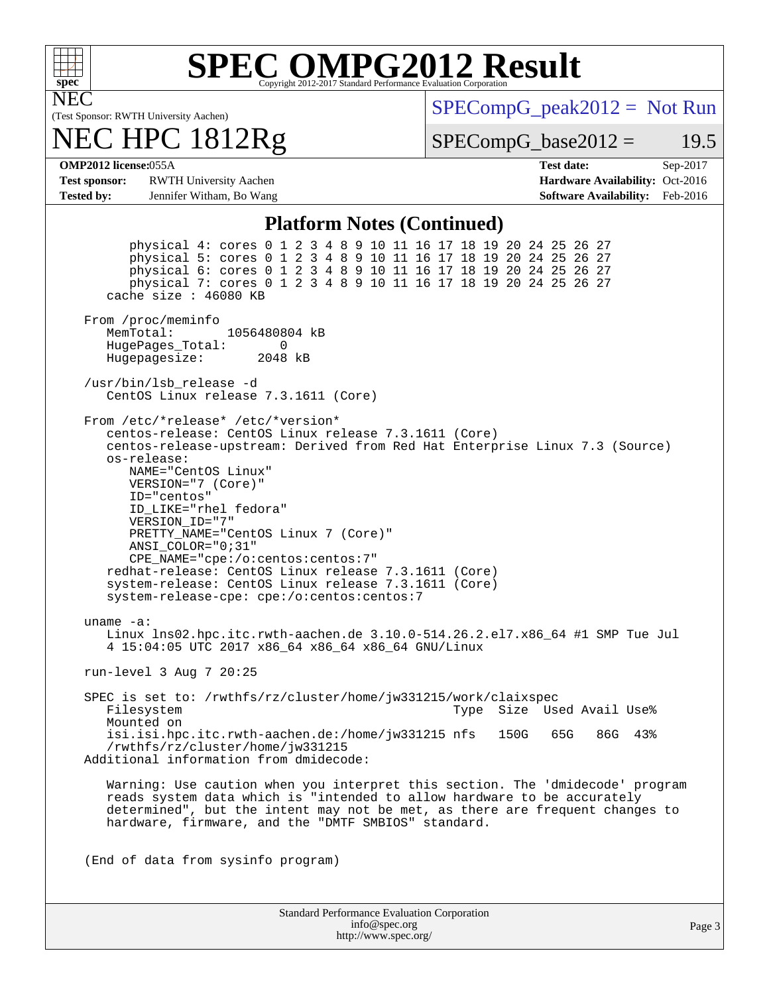

# **[SPEC OMPG2012 Result](http://www.spec.org/auto/omp2012/Docs/result-fields.html#SPECOMPG2012Result)**

(Test Sponsor: RWTH University Aachen) NEC

# NEC HPC 1812Rg

 $SPECompG_peak2012 = Not Run$  $SPECompG_peak2012 = Not Run$ 

 $SPECompG_base2012 = 19.5$  $SPECompG_base2012 = 19.5$ 

**[OMP2012 license:](http://www.spec.org/auto/omp2012/Docs/result-fields.html#OMP2012license)**055A **[Test date:](http://www.spec.org/auto/omp2012/Docs/result-fields.html#Testdate)** Sep-2017

**[Test sponsor:](http://www.spec.org/auto/omp2012/Docs/result-fields.html#Testsponsor)** RWTH University Aachen **[Hardware Availability:](http://www.spec.org/auto/omp2012/Docs/result-fields.html#HardwareAvailability)** Oct-2016 **[Tested by:](http://www.spec.org/auto/omp2012/Docs/result-fields.html#Testedby)** Jennifer Witham, Bo Wang **[Software Availability:](http://www.spec.org/auto/omp2012/Docs/result-fields.html#SoftwareAvailability)** Feb-2016

#### **[Platform Notes \(Continued\)](http://www.spec.org/auto/omp2012/Docs/result-fields.html#PlatformNotes)**

 physical 4: cores 0 1 2 3 4 8 9 10 11 16 17 18 19 20 24 25 26 27 physical 5: cores 0 1 2 3 4 8 9 10 11 16 17 18 19 20 24 25 26 27 physical 6: cores 0 1 2 3 4 8 9 10 11 16 17 18 19 20 24 25 26 27 physical 7: cores 0 1 2 3 4 8 9 10 11 16 17 18 19 20 24 25 26 27 cache size : 46080 KB From /proc/meminfo MemTotal: 1056480804 kB HugePages\_Total: 0<br>Hugepagesize: 2048 kB Hugepagesize: /usr/bin/lsb\_release -d CentOS Linux release 7.3.1611 (Core) From /etc/\*release\* /etc/\*version\* centos-release: CentOS Linux release 7.3.1611 (Core) centos-release-upstream: Derived from Red Hat Enterprise Linux 7.3 (Source) os-release: NAME="CentOS Linux" VERSION="7 (Core)" ID="centos" ID\_LIKE="rhel fedora" VERSION\_ID="7" PRETTY\_NAME="CentOS Linux 7 (Core)" ANSI\_COLOR="0;31" CPE\_NAME="cpe:/o:centos:centos:7" redhat-release: CentOS Linux release 7.3.1611 (Core) system-release: CentOS Linux release 7.3.1611 (Core) system-release-cpe: cpe:/o:centos:centos:7 uname -a: Linux lns02.hpc.itc.rwth-aachen.de 3.10.0-514.26.2.el7.x86\_64 #1 SMP Tue Jul 4 15:04:05 UTC 2017 x86\_64 x86\_64 x86\_64 GNU/Linux run-level 3 Aug 7 20:25 SPEC is set to: /rwthfs/rz/cluster/home/jw331215/work/claixspec<br>Filesystem 1998 Type Size Used Avail Use% Mounted on isi.isi.hpc.itc.rwth-aachen.de:/home/jw331215 nfs 150G 65G 86G 43% /rwthfs/rz/cluster/home/jw331215 Additional information from dmidecode: Warning: Use caution when you interpret this section. The 'dmidecode' program reads system data which is "intended to allow hardware to be accurately determined", but the intent may not be met, as there are frequent changes to hardware, firmware, and the "DMTF SMBIOS" standard. (End of data from sysinfo program)

| <b>Standard Performance Evaluation Corporation</b> |
|----------------------------------------------------|
| info@spec.org                                      |
| http://www.spec.org/                               |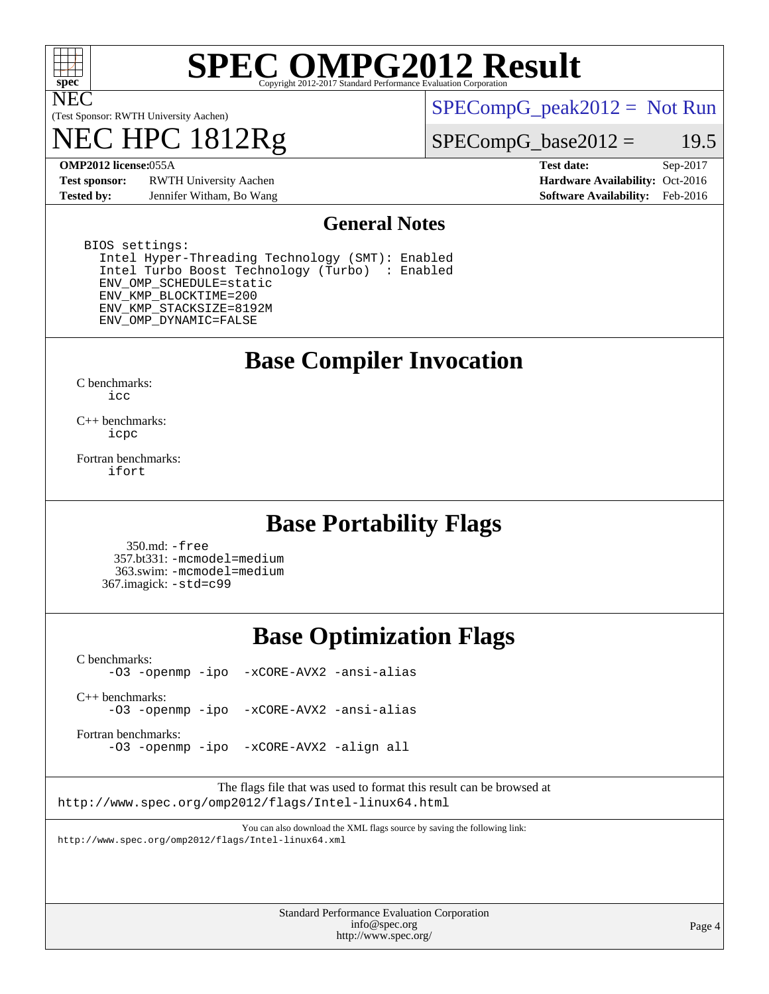

NEC

# **[SPEC OMPG2012 Result](http://www.spec.org/auto/omp2012/Docs/result-fields.html#SPECOMPG2012Result)**

(Test Sponsor: RWTH University Aachen)

# 1812Rg

 $SPECompG_peak2012 = Not Run$  $SPECompG_peak2012 = Not Run$ 

#### $SPECompG_base2012 = 19.5$  $SPECompG_base2012 = 19.5$

**[Test sponsor:](http://www.spec.org/auto/omp2012/Docs/result-fields.html#Testsponsor)** RWTH University Aachen **[Hardware Availability:](http://www.spec.org/auto/omp2012/Docs/result-fields.html#HardwareAvailability)** Oct-2016 **[Tested by:](http://www.spec.org/auto/omp2012/Docs/result-fields.html#Testedby)** Jennifer Witham, Bo Wang **[Software Availability:](http://www.spec.org/auto/omp2012/Docs/result-fields.html#SoftwareAvailability)** Feb-2016

**[OMP2012 license:](http://www.spec.org/auto/omp2012/Docs/result-fields.html#OMP2012license)**055A **[Test date:](http://www.spec.org/auto/omp2012/Docs/result-fields.html#Testdate)** Sep-2017

#### **[General Notes](http://www.spec.org/auto/omp2012/Docs/result-fields.html#GeneralNotes)**

 BIOS settings: Intel Hyper-Threading Technology (SMT): Enabled Intel Turbo Boost Technology (Turbo) : Enabled ENV\_OMP\_SCHEDULE=static ENV\_KMP\_BLOCKTIME=200 ENV\_KMP\_STACKSIZE=8192M ENV\_OMP\_DYNAMIC=FALSE

### **[Base Compiler Invocation](http://www.spec.org/auto/omp2012/Docs/result-fields.html#BaseCompilerInvocation)**

[C benchmarks](http://www.spec.org/auto/omp2012/Docs/result-fields.html#Cbenchmarks): [icc](http://www.spec.org/omp2012/results/res2017q4/omp2012-20170927-00126.flags.html#user_CCbase_intel_icc_a87c68a857bc5ec5362391a49d3a37a6)

[C++ benchmarks:](http://www.spec.org/auto/omp2012/Docs/result-fields.html#CXXbenchmarks) [icpc](http://www.spec.org/omp2012/results/res2017q4/omp2012-20170927-00126.flags.html#user_CXXbase_intel_icpc_2d899f8d163502b12eb4a60069f80c1c)

[Fortran benchmarks](http://www.spec.org/auto/omp2012/Docs/result-fields.html#Fortranbenchmarks): [ifort](http://www.spec.org/omp2012/results/res2017q4/omp2012-20170927-00126.flags.html#user_FCbase_intel_ifort_8a5e5e06b19a251bdeaf8fdab5d62f20)

### **[Base Portability Flags](http://www.spec.org/auto/omp2012/Docs/result-fields.html#BasePortabilityFlags)**

 350.md: [-free](http://www.spec.org/omp2012/results/res2017q4/omp2012-20170927-00126.flags.html#user_baseFPORTABILITY350_md_f-FR_e51be0673775d2012b3310fa5323f530) 357.bt331: [-mcmodel=medium](http://www.spec.org/omp2012/results/res2017q4/omp2012-20170927-00126.flags.html#user_baseFPORTABILITY357_bt331_f-mcmodel_3a41622424bdd074c4f0f2d2f224c7e5) 363.swim: [-mcmodel=medium](http://www.spec.org/omp2012/results/res2017q4/omp2012-20170927-00126.flags.html#user_baseFPORTABILITY363_swim_f-mcmodel_3a41622424bdd074c4f0f2d2f224c7e5) 367.imagick: [-std=c99](http://www.spec.org/omp2012/results/res2017q4/omp2012-20170927-00126.flags.html#user_baseCPORTABILITY367_imagick_f-std_2ec6533b6e06f1c4a6c9b78d9e9cde24)

## **[Base Optimization Flags](http://www.spec.org/auto/omp2012/Docs/result-fields.html#BaseOptimizationFlags)**

[C benchmarks](http://www.spec.org/auto/omp2012/Docs/result-fields.html#Cbenchmarks): [-O3](http://www.spec.org/omp2012/results/res2017q4/omp2012-20170927-00126.flags.html#user_CCbase_f-O3) [-openmp](http://www.spec.org/omp2012/results/res2017q4/omp2012-20170927-00126.flags.html#user_CCbase_f-openmp) [-ipo](http://www.spec.org/omp2012/results/res2017q4/omp2012-20170927-00126.flags.html#user_CCbase_f-ipo_84062ab53814f613187d02344b8f49a7) [-xCORE-AVX2](http://www.spec.org/omp2012/results/res2017q4/omp2012-20170927-00126.flags.html#user_CCbase_f-xCORE-AVX2) [-ansi-alias](http://www.spec.org/omp2012/results/res2017q4/omp2012-20170927-00126.flags.html#user_CCbase_f-ansi-alias)

[C++ benchmarks:](http://www.spec.org/auto/omp2012/Docs/result-fields.html#CXXbenchmarks) [-O3](http://www.spec.org/omp2012/results/res2017q4/omp2012-20170927-00126.flags.html#user_CXXbase_f-O3) [-openmp](http://www.spec.org/omp2012/results/res2017q4/omp2012-20170927-00126.flags.html#user_CXXbase_f-openmp) [-ipo](http://www.spec.org/omp2012/results/res2017q4/omp2012-20170927-00126.flags.html#user_CXXbase_f-ipo_84062ab53814f613187d02344b8f49a7) [-xCORE-AVX2](http://www.spec.org/omp2012/results/res2017q4/omp2012-20170927-00126.flags.html#user_CXXbase_f-xCORE-AVX2) [-ansi-alias](http://www.spec.org/omp2012/results/res2017q4/omp2012-20170927-00126.flags.html#user_CXXbase_f-ansi-alias)

[Fortran benchmarks](http://www.spec.org/auto/omp2012/Docs/result-fields.html#Fortranbenchmarks):

[-O3](http://www.spec.org/omp2012/results/res2017q4/omp2012-20170927-00126.flags.html#user_FCbase_f-O3) [-openmp](http://www.spec.org/omp2012/results/res2017q4/omp2012-20170927-00126.flags.html#user_FCbase_f-openmp) [-ipo](http://www.spec.org/omp2012/results/res2017q4/omp2012-20170927-00126.flags.html#user_FCbase_f-ipo_84062ab53814f613187d02344b8f49a7) [-xCORE-AVX2](http://www.spec.org/omp2012/results/res2017q4/omp2012-20170927-00126.flags.html#user_FCbase_f-xCORE-AVX2) [-align all](http://www.spec.org/omp2012/results/res2017q4/omp2012-20170927-00126.flags.html#user_FCbase_f-align_1ebfa66158b49aff21b037afc4046011)

The flags file that was used to format this result can be browsed at <http://www.spec.org/omp2012/flags/Intel-linux64.html>

You can also download the XML flags source by saving the following link: <http://www.spec.org/omp2012/flags/Intel-linux64.xml>

> Standard Performance Evaluation Corporation [info@spec.org](mailto:info@spec.org) <http://www.spec.org/>